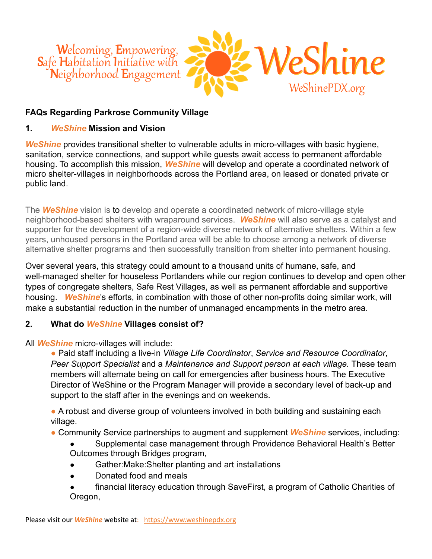

#### **FAQs Regarding Parkrose Community Village**

#### **1.** *WeShine* **Mission and Vision**

*WeShine* provides transitional shelter to vulnerable adults in micro-villages with basic hygiene, sanitation, service connections, and support while guests await access to permanent affordable housing. To accomplish this mission, *WeShine* will develop and operate a coordinated network of micro shelter-villages in neighborhoods across the Portland area, on leased or donated private or public land.

The *WeShine* vision is to develop and operate a coordinated network of micro-village style neighborhood-based shelters with wraparound services. *WeShine* will also serve as a catalyst and supporter for the development of a region-wide diverse network of alternative shelters. Within a few years, unhoused persons in the Portland area will be able to choose among a network of diverse alternative shelter programs and then successfully transition from shelter into permanent housing.

Over several years, this strategy could amount to a thousand units of humane, safe, and well-managed shelter for houseless Portlanders while our region continues to develop and open other types of congregate shelters, Safe Rest Villages, as well as permanent affordable and supportive housing. *WeShine*'s efforts, in combination with those of other non-profits doing similar work, will make a substantial reduction in the number of unmanaged encampments in the metro area.

#### **2. What do** *WeShine* **Villages consist of?**

All *WeShine* micro-villages will include:

● Paid staff including a live-in *Village Life Coordinator*, *Service and Resource Coordinator*, *Peer Support Specialist* and a *Maintenance and Support person at each village.* These team members will alternate being on call for emergencies after business hours. The Executive Director of WeShine or the Program Manager will provide a secondary level of back-up and support to the staff after in the evenings and on weekends.

• A robust and diverse group of volunteers involved in both building and sustaining each village.

- Community Service partnerships to augment and supplement *WeShine* services, including:
	- Supplemental case management through Providence Behavioral Health's Better Outcomes through Bridges program,
	- Gather: Make: Shelter planting and art installations
	- Donated food and meals
	- financial literacy education through SaveFirst, a program of Catholic Charities of Oregon,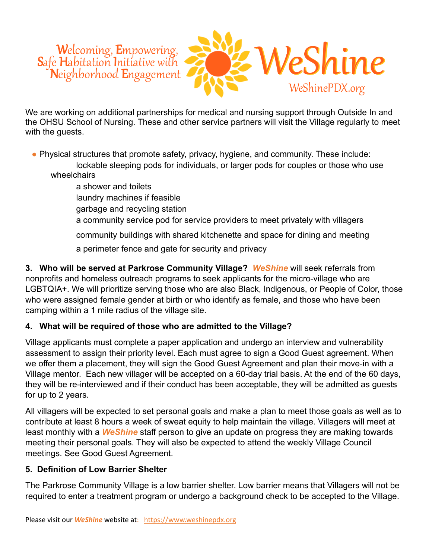

We are working on additional partnerships for medical and nursing support through Outside In and the OHSU School of Nursing. These and other service partners will visit the Village regularly to meet with the guests.

- Physical structures that promote safety, privacy, hygiene, and community. These include: lockable sleeping pods for individuals, or larger pods for couples or those who use wheelchairs
	- a shower and toilets laundry machines if feasible garbage and recycling station a community service pod for service providers to meet privately with villagers community buildings with shared kitchenette and space for dining and meeting a perimeter fence and gate for security and privacy

**3. Who will be served at Parkrose Community Village?** *WeShine* will seek referrals from nonprofits and homeless outreach programs to seek applicants for the micro-village who are LGBTQIA+. We will prioritize serving those who are also Black, Indigenous, or People of Color, those who were assigned female gender at birth or who identify as female, and those who have been camping within a 1 mile radius of the village site.

# **4. What will be required of those who are admitted to the Village?**

Village applicants must complete a paper application and undergo an interview and vulnerability assessment to assign their priority level. Each must agree to sign a Good Guest agreement. When we offer them a placement, they will sign the Good Guest Agreement and plan their move-in with a Village mentor. Each new villager will be accepted on a 60-day trial basis. At the end of the 60 days, they will be re-interviewed and if their conduct has been acceptable, they will be admitted as guests for up to 2 years.

All villagers will be expected to set personal goals and make a plan to meet those goals as well as to contribute at least 8 hours a week of sweat equity to help maintain the village. Villagers will meet at least monthly with a *WeShine* staff person to give an update on progress they are making towards meeting their personal goals. They will also be expected to attend the weekly Village Council meetings. See Good Guest Agreement.

#### **5. Definition of Low Barrier Shelter**

The Parkrose Community Village is a low barrier shelter. Low barrier means that Villagers will not be required to enter a treatment program or undergo a background check to be accepted to the Village.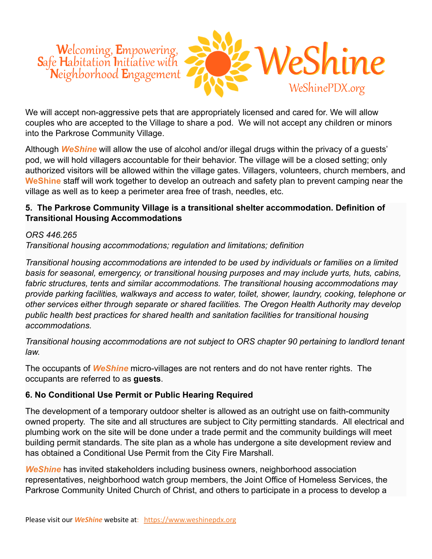

We will accept non-aggressive pets that are appropriately licensed and cared for. We will allow couples who are accepted to the Village to share a pod. We will not accept any children or minors into the Parkrose Community Village.

Although *WeShine* will allow the use of alcohol and/or illegal drugs within the privacy of a guests' pod, we will hold villagers accountable for their behavior. The village will be a closed setting; only authorized visitors will be allowed within the village gates. Villagers, volunteers, church members, and **WeShine** staff will work together to develop an outreach and safety plan to prevent camping near the village as well as to keep a perimeter area free of trash, needles, etc.

### **5. The Parkrose Community Village is a transitional shelter accommodation. Definition of Transitional Housing Accommodations**

#### *ORS 446.265*

*Transitional housing accommodations; regulation and limitations; definition*

*Transitional housing accommodations are intended to be used by individuals or families on a limited basis for seasonal, emergency, or transitional housing purposes and may include yurts, huts, cabins, fabric structures, tents and similar accommodations. The transitional housing accommodations may provide parking facilities, walkways and access to water, toilet, shower, laundry, cooking, telephone or other services either through separate or shared facilities. The Oregon Health Authority may develop public health best practices for shared health and sanitation facilities for transitional housing accommodations.*

*Transitional housing accommodations are not subject to ORS chapter 90 pertaining to landlord tenant law.*

The occupants of *WeShine* micro-villages are not renters and do not have renter rights. The occupants are referred to as **guests**.

# **6. No Conditional Use Permit or Public Hearing Required**

The development of a temporary outdoor shelter is allowed as an outright use on faith-community owned property. The site and all structures are subject to City permitting standards. All electrical and plumbing work on the site will be done under a trade permit and the community buildings will meet building permit standards. The site plan as a whole has undergone a site development review and has obtained a Conditional Use Permit from the City Fire Marshall.

**WeShine** has invited stakeholders including business owners, neighborhood association representatives, neighborhood watch group members, the Joint Office of Homeless Services, the Parkrose Community United Church of Christ, and others to participate in a process to develop a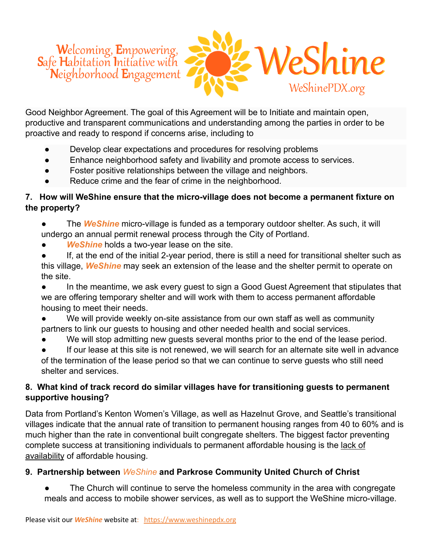

Good Neighbor Agreement. The goal of this Agreement will be to Initiate and maintain open, productive and transparent communications and understanding among the parties in order to be proactive and ready to respond if concerns arise, including to

- Develop clear expectations and procedures for resolving problems
- Enhance neighborhood safety and livability and promote access to services.
- Foster positive relationships between the village and neighbors.
- Reduce crime and the fear of crime in the neighborhood.

### **7. How will WeShine ensure that the micro-village does not become a permanent fixture on the property?**

- The *WeShine* micro-village is funded as a temporary outdoor shelter. As such, it will undergo an annual permit renewal process through the City of Portland.
- **WeShine** holds a two-year lease on the site.
- If, at the end of the initial 2-year period, there is still a need for transitional shelter such as this village, *WeShine* may seek an extension of the lease and the shelter permit to operate on the site.

● In the meantime, we ask every guest to sign a Good Guest Agreement that stipulates that we are offering temporary shelter and will work with them to access permanent affordable housing to meet their needs.

● We will provide weekly on-site assistance from our own staff as well as community partners to link our guests to housing and other needed health and social services.

We will stop admitting new quests several months prior to the end of the lease period.

If our lease at this site is not renewed, we will search for an alternate site well in advance of the termination of the lease period so that we can continue to serve guests who still need shelter and services.

# **8. What kind of track record do similar villages have for transitioning guests to permanent supportive housing?**

Data from Portland's Kenton Women's Village, as well as Hazelnut Grove, and Seattle's transitional villages indicate that the annual rate of transition to permanent housing ranges from 40 to 60% and is much higher than the rate in conventional built congregate shelters. The biggest factor preventing complete success at transitioning individuals to permanent affordable housing is the lack of availability of affordable housing.

# **9. Partnership between** *WeShine* **and Parkrose Community United Church of Christ**

The Church will continue to serve the homeless community in the area with congregate meals and access to mobile shower services, as well as to support the WeShine micro-village.